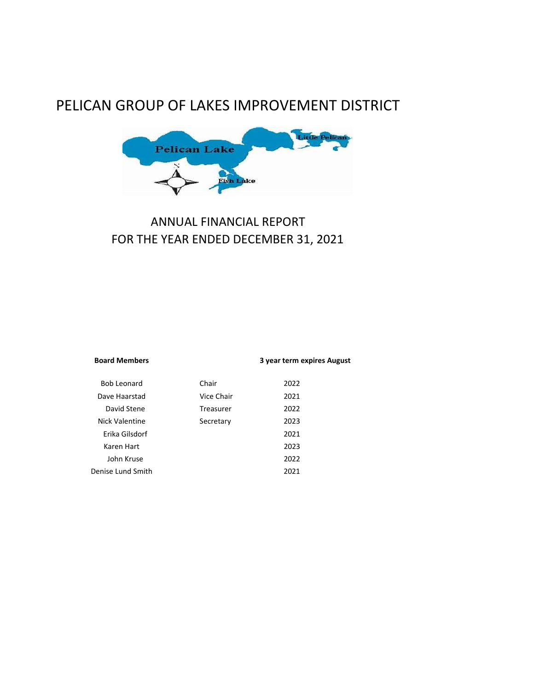# PELICAN GROUP OF LAKES IMPROVEMENT DISTRICT



# ANNUAL FINANCIAL REPORT FOR THE YEAR ENDED DECEMBER 31, 2021

| <b>Board Members</b> |            | 3 year term expires August |
|----------------------|------------|----------------------------|
| Bob Leonard          | Chair      | 2022                       |
| Dave Haarstad        | Vice Chair | 2021                       |
| David Stene          | Treasurer  | 2022                       |
| Nick Valentine       | Secretary  | 2023                       |
| Erika Gilsdorf       |            | 2021                       |
| Karen Hart           |            | 2023                       |
| John Kruse           |            | 2022                       |
| Denise Lund Smith    |            | 2021                       |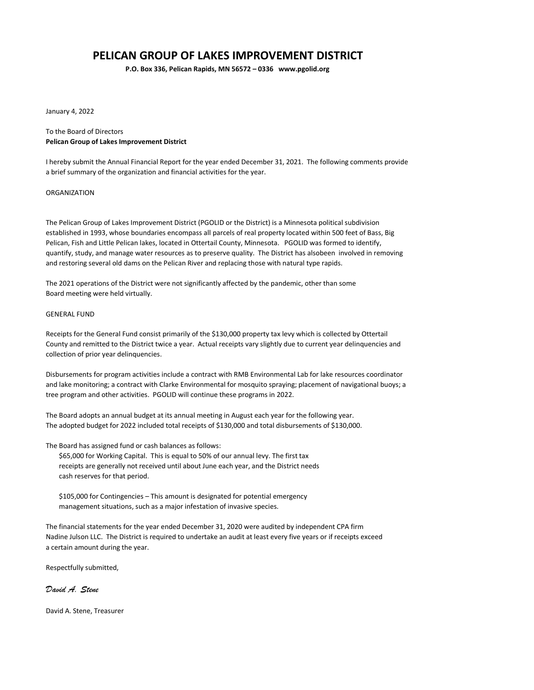# PELICAN GROUP OF LAKES IMPROVEMENT DISTRICT

P.O. Box 336, Pelican Rapids, MN 56572 – 0336 www.pgolid.org

January 4, 2022

#### To the Board of Directors Pelican Group of Lakes Improvement District

I hereby submit the Annual Financial Report for the year ended December 31, 2021. The following comments provide a brief summary of the organization and financial activities for the year.

#### ORGANIZATION

The Pelican Group of Lakes Improvement District (PGOLID or the District) is a Minnesota political subdivision established in 1993, whose boundaries encompass all parcels of real property located within 500 feet of Bass, Big Pelican, Fish and Little Pelican lakes, located in Ottertail County, Minnesota. PGOLID was formed to identify, quantify, study, and manage water resources as to preserve quality. The District has alsobeen involved in removing and restoring several old dams on the Pelican River and replacing those with natural type rapids.

The 2021 operations of the District were not significantly affected by the pandemic, other than some Board meeting were held virtually.

#### GENERAL FUND

Receipts for the General Fund consist primarily of the \$130,000 property tax levy which is collected by Ottertail County and remitted to the District twice a year. Actual receipts vary slightly due to current year delinquencies and collection of prior year delinquencies.

Disbursements for program activities include a contract with RMB Environmental Lab for lake resources coordinator and lake monitoring; a contract with Clarke Environmental for mosquito spraying; placement of navigational buoys; a tree program and other activities. PGOLID will continue these programs in 2022.

The Board adopts an annual budget at its annual meeting in August each year for the following year. The adopted budget for 2022 included total receipts of \$130,000 and total disbursements of \$130,000.

The Board has assigned fund or cash balances as follows:

\$65,000 for Working Capital. This is equal to 50% of our annual levy. The first tax receipts are generally not received until about June each year, and the District needs cash reserves for that period.

\$105,000 for Contingencies – This amount is designated for potential emergency management situations, such as a major infestation of invasive species.

The financial statements for the year ended December 31, 2020 were audited by independent CPA firm Nadine Julson LLC. The District is required to undertake an audit at least every five years or if receipts exceed a certain amount during the year.

Respectfully submitted,

### David A. Stene

David A. Stene, Treasurer